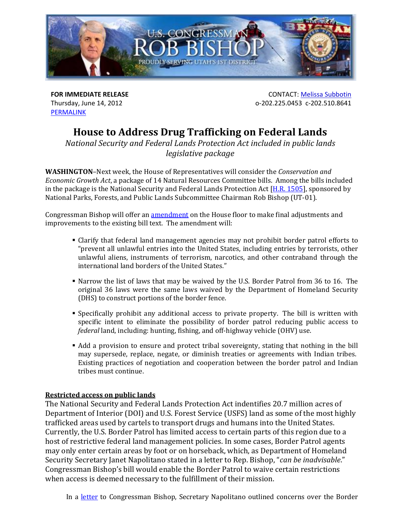

Thursday, June 14, 2012 PERMALINK

**FOR IMMEDIATE RELEASE CONTACT: Melissa Subbotin** o‐202.225.0453 c‐202.510.8641

# **House to Address Drug Trafficking on Federal Lands**

*National Security and Federal Lands Protection Act included in public lands legislative* package

**WASHINGTON-Next** week, the House of Representatives will consider the *Conservation* and *Economic Growth Act*, a package of 14 Natural Resources Committee bills. Among the bills included in the package is the National Security and Federal Lands Protection Act  $[H.R. 1505]$ , sponsored by National Parks, Forests, and Public Lands Subcommittee Chairman Rob Bishop (UT-01).

Congressman Bishop will offer an amendment on the House floor to make final adjustments and improvements to the existing bill text. The amendment will:

- Clarify that federal land management agencies may not prohibit border patrol efforts to "prevent all unlawful entries into the United States, including entries by terrorists, other unlawful aliens, instruments of terrorism, narcotics, and other contraband through the international land borders of the United States."
- Narrow the list of laws that may be waived by the U.S. Border Patrol from 36 to 16. The original 36 laws were the same laws waived by the Department of Homeland Security (DHS) to construct portions of the border fence.
- **Specifically** prohibit any additional access to private property. The bill is written with specific intent to eliminate the possibility of border patrol reducing public access to *federal* land, including: hunting, fishing, and off-highway vehicle (OHV) use.
- Add a provision to ensure and protect tribal sovereignty, stating that nothing in the bill may supersede, replace, negate, or diminish treaties or agreements with Indian tribes. Existing practices of negotiation and cooperation between the border patrol and Indian tribes must continue.

# **Restricted access on public lands**

The National Security and Federal Lands Protection Act indentifies 20.7 million acres of Department of Interior (DOI) and U.S. Forest Service (USFS) land as some of the most highly trafficked areas used by cartels to transport drugs and humans into the United States. Currently, the U.S. Border Patrol has limited access to certain parts of this region due to a host of restrictive federal land management policies. In some cases, Border Patrol agents may only enter certain areas by foot or on horseback, which, as Department of Homeland Security Secretary Janet Napolitano stated in a letter to Rep. Bishop, "*can be inadvisable*." Congressman Bishop's bill would enable the Border Patrol to waive certain restrictions when access is deemed necessary to the fulfillment of their mission.